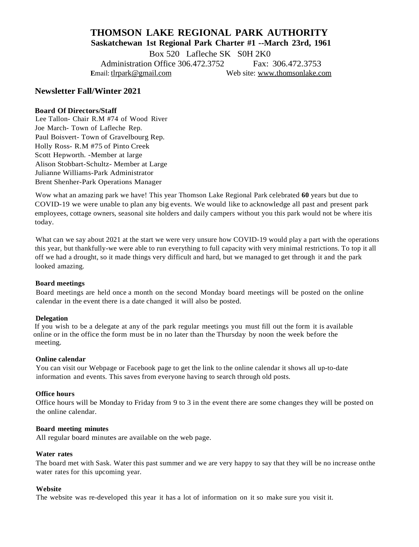# **THOMSON LAKE REGIONAL PARK AUTHORITY Saskatchewan 1st Regional Park Charter #1 --March 23rd, 1961**

Box 520 Lafleche SK S0H 2K0

Administration Office 306 472 3752 Fax: 306 472 3753  **E**mail: [tlrpark@gmail.com](mailto:tlrpark@gmail.com) Web site: [www.thomsonlake.com](http://www.thomsonlake.com/)

# **Newsletter Fall/Winter 2021**

### **Board Of Directors/Staff**

Lee Tallon- Chair R.M #74 of Wood River Joe March- Town of Lafleche Rep. Paul Boisvert- Town of Gravelbourg Rep. Holly Ross- R.M #75 of Pinto Creek Scott Hepworth. -Member at large Alison Stobbart-Schultz- Member at Large Julianne Williams-Park Administrator Brent Shenher-Park Operations Manager

Wow what an amazing park we have! This year Thomson Lake Regional Park celebrated **60** years but due to COVID-19 we were unable to plan any big events. We would like to acknowledge all past and present park employees, cottage owners, seasonal site holders and daily campers without you this park would not be where itis today.

What can we say about 2021 at the start we were very unsure how COVID-19 would play a part with the operations this year, but thankfully-we were able to run everything to full capacity with very minimal restrictions. To top it all off we had a drought, so it made things very difficult and hard, but we managed to get through it and the park looked amazing.

#### **Board meetings**

Board meetings are held once a month on the second Monday board meetings will be posted on the online calendar in the event there is a date changed it will also be posted.

#### **Delegation**

 If you wish to be a delegate at any of the park regular meetings you must fill out the form it is available online or in the office the form must be in no later than the Thursday by noon the week before the meeting.

#### **Online calendar**

You can visit our Webpage or Facebook page to get the link to the online calendar it shows all up-to-date information and events. This saves from everyone having to search through old posts.

#### **Office hours**

Office hours will be Monday to Friday from 9 to 3 in the event there are some changes they will be posted on the online calendar.

#### **Board meeting minutes**

All regular board minutes are available on the web page.

#### **Water rates**

The board met with Sask. Water this past summer and we are very happy to say that they will be no increase onthe water rates for this upcoming year.

#### **Website**

The website was re-developed this year it has a lot of information on it so make sure you visit it.